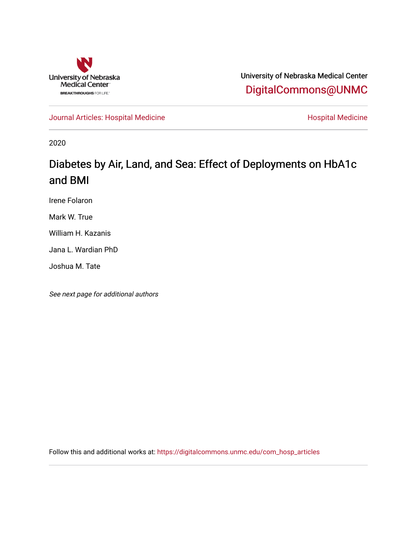

University of Nebraska Medical Center [DigitalCommons@UNMC](https://digitalcommons.unmc.edu/) 

[Journal Articles: Hospital Medicine](https://digitalcommons.unmc.edu/com_hosp_articles) **Material Articles: Hospital Medicine** Material Medicine

2020

# Diabetes by Air, Land, and Sea: Effect of Deployments on HbA1c and BMI

Irene Folaron

Mark W. True

William H. Kazanis

Jana L. Wardian PhD

Joshua M. Tate

See next page for additional authors

Follow this and additional works at: [https://digitalcommons.unmc.edu/com\\_hosp\\_articles](https://digitalcommons.unmc.edu/com_hosp_articles?utm_source=digitalcommons.unmc.edu%2Fcom_hosp_articles%2F9&utm_medium=PDF&utm_campaign=PDFCoverPages)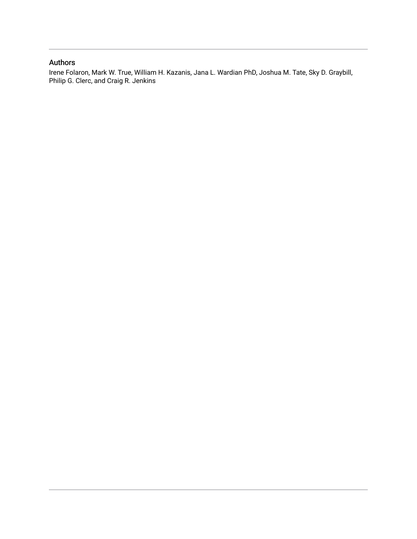## Authors

Irene Folaron, Mark W. True, William H. Kazanis, Jana L. Wardian PhD, Joshua M. Tate, Sky D. Graybill, Philip G. Clerc, and Craig R. Jenkins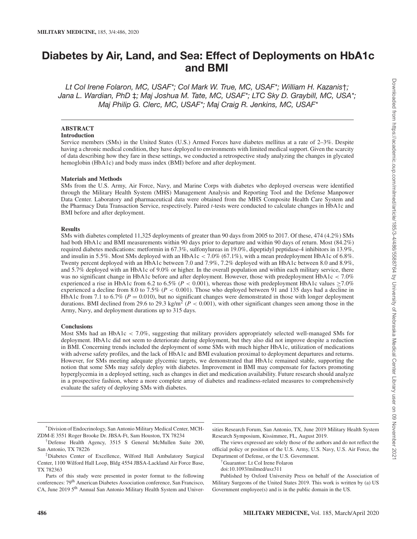## Diabetes by Air, Land, and Sea: Effect of Deployments on HbA1c and BMI

Lt Col Irene Folaron, MC, USAF\*; Col Mark W. True, MC, USAF\*; William H. Kazanis†; Jana L. Wardian, PhD ‡; Maj Joshua M. Tate, MC, USAF\*; LTC Sky D. Graybill, MC, USA\*; Maj Philip G. Clerc, MC, USAF\*; Maj Craig R. Jenkins, MC, USAF\*

#### **ABSTRACT**

#### **Introduction**

Service members (SMs) in the United States (U.S.) Armed Forces have diabetes mellitus at a rate of 2–3%. Despite having a chronic medical condition, they have deployed to environments with limited medical support. Given the scarcity of data describing how they fare in these settings, we conducted a retrospective study analyzing the changes in glycated hemoglobin (HbA1c) and body mass index (BMI) before and after deployment.

#### **Materials and Methods**

SMs from the U.S. Army, Air Force, Navy, and Marine Corps with diabetes who deployed overseas were identified through the Military Health System (MHS) Management Analysis and Reporting Tool and the Defense Manpower Data Center. Laboratory and pharmaceutical data were obtained from the MHS Composite Health Care System and the Pharmacy Data Transaction Service, respectively. Paired *t*-tests were conducted to calculate changes in HbA1c and BMI before and after deployment.

#### **Results**

SMs with diabetes completed 11,325 deployments of greater than 90 days from 2005 to 2017. Of these, 474 (4.2%) SMs had both HbA1c and BMI measurements within 90 days prior to departure and within 90 days of return. Most (84.2%) required diabetes medications: metformin in 67.3%, sulfonylureas in 19.0%, dipeptidyl peptidase-4 inhibitors in 13.9%, and insulin in 5.5%. Most SMs deployed with an HbA1c  $<$  7.0% (67.1%), with a mean predeployment HbA1c of 6.8%. Twenty percent deployed with an HbA1c between 7.0 and 7.9%, 7.2% deployed with an HbA1c between 8.0 and 8.9%, and 5.7% deployed with an HbA1c of 9.0% or higher. In the overall population and within each military service, there was no significant change in HbA1c before and after deployment. However, those with predeployment HbA1c < 7.0% experienced a rise in HbA1c from 6.2 to 6.5% ( $P < 0.001$ ), whereas those with predeployment HbA1c values  $\geq 7.0\%$ experienced a decline from 8.0 to 7.5% ( $P < 0.001$ ). Those who deployed between 91 and 135 days had a decline in HbA1c from 7.1 to 6.7% ( $P = 0.010$ ), but no significant changes were demonstrated in those with longer deployment durations. BMI declined from 29.6 to 29.3 kg/m<sup>2</sup> ( $P < 0.001$ ), with other significant changes seen among those in the Army, Navy, and deployment durations up to 315 days.

#### **Conclusions**

Most SMs had an HbA1c < 7.0%, suggesting that military providers appropriately selected well-managed SMs for deployment. HbA1c did not seem to deteriorate during deployment, but they also did not improve despite a reduction in BMI. Concerning trends included the deployment of some SMs with much higher HbA1c, utilization of medications with adverse safety profiles, and the lack of HbA1c and BMI evaluation proximal to deployment departures and returns. However, for SMs meeting adequate glycemic targets, we demonstrated that HbA1c remained stable, supporting the notion that some SMs may safely deploy with diabetes. Improvement in BMI may compensate for factors promoting hyperglycemia in a deployed setting, such as changes in diet and medication availability. Future research should analyze in a prospective fashion, where a more complete array of diabetes and readiness-related measures to comprehensively evaluate the safety of deploying SMs with diabetes.

Parts of this study were presented in poster format to the following conferences: 79<sup>th</sup> American Diabetes Association conference, San Francisco, CA, June 2019 5<sup>th</sup> Annual San Antonio Military Health System and Universities Research Forum, San Antonio, TX, June 2019 Military Health System Research Symposium, Kissimmee, FL, August 2019.

The views expressed are solely those of the authors and do not reflect the official policy or position of the U.S. Army, U.S. Navy, U.S. Air Force, the Department of Defense, or the U.S. Government.

†Guarantor: Lt Col Irene Folaron

Published by Oxford University Press on behalf of the Association of Military Surgeons of the United States 2019. This work is written by (a) US Government employee(s) and is in the public domain in the US.

<sup>\*</sup>Division of Endocrinology, San Antonio Military Medical Center, MCH-ZDM-E 3551 Roger Brooke Dr. JBSA-Ft, Sam Houston, TX 78234

<sup>†</sup>Defense Health Agency, 3515 S General McMullen Suite 200, San Antonio, TX 78226

<sup>‡</sup>Diabetes Center of Excellence, Wilford Hall Ambulatory Surgical Center, 1100 Wilford Hall Loop, Bldg 4554 JBSA-Lackland Air Force Base, TX 782363

doi:10.1093/milmed/usz311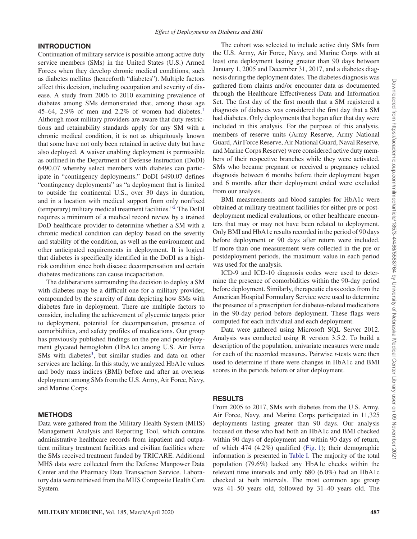## INTRODUCTION

Continuation of military service is possible among active duty service members (SMs) in the United States (U.S.) Armed Forces when they develop chronic medical conditions, such as diabetes mellitus (henceforth "diabetes"). Multiple factors affect this decision, including occupation and severity of disease. A study from 2006 to 2010 examining prevalence of diabetes among SMs demonstrated that, among those age 45–64, 2.9% of men and 2.2% of women had diabetes.<sup>1</sup> Although most military providers are aware that duty restrictions and retainability standards apply for any SM with a chronic medical condition, it is not as ubiquitously known that some have not only been retained in active duty but have also deployed. A waiver enabling deployment is permissible as outlined in the Department of Defense Instruction (DoDI) 6490.07 whereby select members with diabetes can participate in "contingency deployments." DoDI 6490.07 defines "contingency deployments" as "a deployment that is limited to outside the continental U.S., over 30 days in duration, and in a location with medical support from only nonfixed (temporary) military medical treatment facilities."<sup>2</sup> The DoDI requires a minimum of a medical record review by a trained DoD healthcare provider to determine whether a SM with a chronic medical condition can deploy based on the severity and stability of the condition, as well as the environment and other anticipated requirements in deployment. It is logical that diabetes is specifically identified in the DoDI as a highrisk condition since both disease decompensation and certain diabetes medications can cause incapacitation.

The deliberations surrounding the decision to deploy a SM with diabetes may be a difficult one for a military provider, compounded by the scarcity of data depicting how SMs with diabetes fare in deployment. There are multiple factors to consider, including the achievement of glycemic targets prior to deployment, potential for decompensation, presence of comorbidities, and safety profiles of medications. Our group has previously published findings on the pre and postdeployment glycated hemoglobin (HbA1c) among U.S. Air Force SMs with diabetes<sup>3</sup>, but similar studies and data on other services are lacking. In this study, we analyzed HbA1c values and body mass indices (BMI) before and after an overseas deployment among SMs from the U.S. Army, Air Force, Navy, and Marine Corps.

## METHODS

Data were gathered from the Military Health System (MHS) Management Analysis and Reporting Tool, which contains administrative healthcare records from inpatient and outpatient military treatment facilities and civilian facilities where the SMs received treatment funded by TRICARE. Additional MHS data were collected from the Defense Manpower Data Center and the Pharmacy Data Transaction Service. Laboratory data were retrieved from the MHS Composite Health Care System.

The cohort was selected to include active duty SMs from the U.S. Army, Air Force, Navy, and Marine Corps with at least one deployment lasting greater than 90 days between January 1, 2005 and December 31, 2017, and a diabetes diagnosis during the deployment dates. The diabetes diagnosis was gathered from claims and/or encounter data as documented through the Healthcare Effectiveness Data and Information Set. The first day of the first month that a SM registered a diagnosis of diabetes was considered the first day that a SM had diabetes. Only deployments that began after that day were included in this analysis. For the purpose of this analysis, members of reserve units (Army Reserve, Army National Guard, Air Force Reserve, Air National Guard, Naval Reserve, and Marine Corps Reserve) were considered active duty members of their respective branches while they were activated. SMs who became pregnant or received a pregnancy related diagnosis between 6 months before their deployment began and 6 months after their deployment ended were excluded from our analysis.

BMI measurements and blood samples for HbA1c were obtained at military treatment facilities for either pre or postdeployment medical evaluations, or other healthcare encounters that may or may not have been related to deployment. Only BMI and HbA1c results recorded in the period of 90 days before deployment or 90 days after return were included. If more than one measurement were collected in the pre or postdeployment periods, the maximum value in each period was used for the analysis.

ICD-9 and ICD-10 diagnosis codes were used to determine the presence of comorbidities within the 90-day period before deployment. Similarly, therapeutic class codes from the American Hospital Formulary Service were used to determine the presence of a prescription for diabetes-related medications in the 90-day period before deployment. These flags were computed for each individual and each deployment.

Data were gathered using Microsoft SQL Server 2012. Analysis was conducted using R version 3.5.2. To build a description of the population, univariate measures were made for each of the recorded measures. Pairwise *t*-tests were then used to determine if there were changes in HbA1c and BMI scores in the periods before or after deployment.

## RESULTS

From 2005 to 2017, SMs with diabetes from the U.S. Army, Air Force, Navy, and Marine Corps participated in 11,325 deployments lasting greater than 90 days. Our analysis focused on those who had both an HbA1c and BMI checked within 90 days of deployment and within 90 days of return, of which 474 (4.2%) qualified (Fig. 1); their demographic information is presented in Table I. The majority of the total population (79.6%) lacked any HbA1c checks within the relevant time intervals and only 680 (6.0%) had an HbA1c checked at both intervals. The most common age group was 41–50 years old, followed by 31–40 years old. The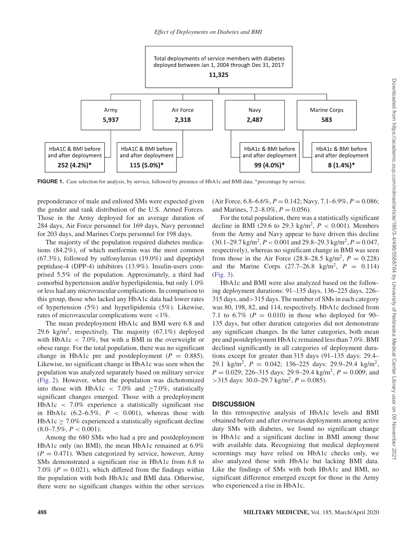

FIGURE 1. Case selection for analysis, by service, followed by presence of HbA1c and BMI data. <sup>∗</sup>percentage by service.

preponderance of male and enlisted SMs were expected given the gender and rank distribution of the U.S. Armed Forces. Those in the Army deployed for an average duration of 284 days, Air Force personnel for 169 days, Navy personnel for 203 days, and Marines Corps personnel for 198 days.

The majority of the population required diabetes medications (84.2%), of which metformin was the most common (67.3%), followed by sulfonylureas (19.0%) and dipeptidyl peptidase-4 (DPP-4) inhibitors (13.9%). Insulin-users comprised 5.5% of the population. Approximately, a third had comorbid hypertension and/or hyperlipidemia, but only 1.0% or less had any microvascular complications. In comparison to this group, those who lacked any HbA1c data had lower rates of hypertension (5%) and hyperlipidemia (5%). Likewise, rates of microvascular complications were <1%.

The mean predeployment HbA1c and BMI were 6.8 and 29.6 kg/m<sup>2</sup>, respectively. The majority  $(67.1\%)$  deployed with  $HbA1c < 7.0\%$ , but with a BMI in the overweight or obese range. For the total population, there was no significant change in HbA1c pre and postdeployment  $(P = 0.885)$ . Likewise, no significant change in HbA1c was seen when the population was analyzed separately based on military service (Fig. 2). However, when the population was dichotomized into those with HbA1c < 7.0% and  $\geq$ 7.0%, statistically significant changes emerged. Those with a predeployment HbA1c < 7.0% experience a statistically significant rise in HbA1c  $(6.2-6.5\%, P < 0.001)$ , whereas those with HbA1c  $\geq$  7.0% experienced a statistically significant decline  $(8.0 - 7.5\%, P < 0.001).$ 

Among the 680 SMs who had a pre and postdeployment HbA1c only (no BMI), the mean HbA1c remained at 6.9%  $(P = 0.471)$ . When categorized by service, however, Army SMs demonstrated a significant rise in HbA1c from 6.8 to 7.0% ( $P = 0.021$ ), which differed from the findings within the population with both HbA1c and BMI data. Otherwise, there were no significant changes within the other services (Air Force, 6.8–6.6%, *P* = 0.142; Navy, 7.1–6.9%, *P* = 0.086; and Marines,  $7.2-8.0\%$ ,  $P = 0.056$ ).

For the total population, there was a statistically significant decline in BMI (29.6 to 29.3 kg/m<sup>2</sup>,  $P < 0.001$ ). Members from the Army and Navy appear to have driven this decline  $(30.1-29.7 \text{ kg/m}^2, P < 0.001 \text{ and } 29.8-29.3 \text{ kg/m}^2, P = 0.047,$ respectively), whereas no significant change in BMI was seen from those in the Air Force  $(28.8-28.5 \text{ kg/m}^2, P = 0.228)$ and the Marine Corps  $(27.7-26.8 \text{ kg/m}^2, P = 0.114)$ (Fig. 3).

HbA1c and BMI were also analyzed based on the following deployment durations: 91–135 days, 136–225 days, 226– 315 days, and>315 days. The number of SMs in each category was 80, 198, 82, and 114, respectively. HbA1c declined from 7.1 to  $6.7\%$  ( $P = 0.010$ ) in those who deployed for 90– 135 days, but other duration categories did not demonstrate any significant changes. In the latter categories, both mean pre and postdeployment HbA1c remained less than 7.0%. BMI declined significantly in all categories of deployment durations except for greater than 315 days (91–135 days: 29.4– 29.1 kg/m<sup>2</sup>,  $P = 0.042$ ; 136–225 days: 29.9–29.4 kg/m<sup>2</sup>,  $P = 0.029$ ; 226–315 days: 29.9–29.4 kg/m<sup>2</sup>,  $P = 0.009$ ; and  $>$ 315 days: 30.0–29.7 kg/m<sup>2</sup>,  $P = 0.085$ ).

### **DISCUSSION**

In this retrospective analysis of HbA1c levels and BMI obtained before and after overseas deployments among active duty SMs with diabetes, we found no significant change in HbA1c and a significant decline in BMI among those with available data. Recognizing that medical deployment screenings may have relied on HbA1c checks only, we also analyzed those with HbA1c but lacking BMI data. Like the findings of SMs with both HbA1c and BMI, no significant difference emerged except for those in the Army who experienced a rise in HbA1c.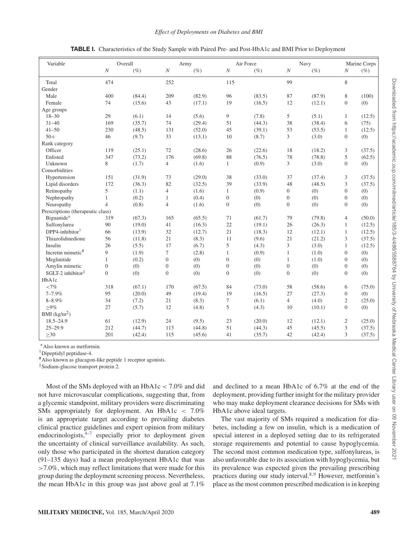#### *Effect of Deployments on Diabetes and BMI*

| Variable                          | Overall          |        | Army           |         | Air Force        |        | Navy             |        | Marine Corps   |         |
|-----------------------------------|------------------|--------|----------------|---------|------------------|--------|------------------|--------|----------------|---------|
|                                   | $\boldsymbol{N}$ | $(\%)$ | $\cal N$       | $(\% )$ | $\cal N$         | $(\%)$ | $\cal N$         | (%     | $\cal N$       | $(\% )$ |
| Total                             | 474              |        | 252            |         | 115              |        | 99               |        | 8              |         |
| Gender                            |                  |        |                |         |                  |        |                  |        |                |         |
| Male                              | 400              | (84.4) | 209            | (82.9)  | 96               | (83.5) | 87               | (87.9) | 8              | (100)   |
| Female                            | 74               | (15.6) | 43             | (17.1)  | 19               | (16.5) | 12               | (12.1) | $\overline{0}$ | (0)     |
| Age groups                        |                  |        |                |         |                  |        |                  |        |                |         |
| $18 - 30$                         | 29               | (6.1)  | 14             | (5.6)   | 9                | (7.8)  | 5                | (5.1)  | $\mathbf{1}$   | (12.5)  |
| $31 - 40$                         | 169              | (35.7) | 74             | (29.4)  | 51               | (44.3) | 38               | (38.4) | 6              | (75)    |
| $41 - 50$                         | 230              | (48.5) | 131            | (52.0)  | 45               | (39.1) | 53               | (53.5) | 1              | (12.5)  |
| $50+$                             | 46               | (9.7)  | 33             | (13.1)  | 10               | (8.7)  | 3                | (3.0)  | $\overline{0}$ | (0)     |
| Rank category                     |                  |        |                |         |                  |        |                  |        |                |         |
| Officer                           | 119              | (25.1) | 72             | (28.6)  | 26               | (22.6) | 18               | (18.2) | 3              | (37.5)  |
| Enlisted                          | 347              | (73.2) | 176            | (69.8)  | 88               | (76.5) | 78               | (78.8) | 5              | (62.5)  |
| Unknown                           | 8                | (1.7)  | $\overline{4}$ | (1.6)   | $\mathbf{1}$     | (0.9)  | 3                | (3.0)  | $\overline{0}$ | (0)     |
| Comorbidities                     |                  |        |                |         |                  |        |                  |        |                |         |
| Hypertension                      | 151              | (31.9) | 73             | (29.0)  | 38               | (33.0) | 37               | (37.4) | 3              | (37.5)  |
| Lipid disorders                   | 172              | (36.3) | 82             | (32.5)  | 39               | (33.9) | 48               | (48.5) | 3              | (37.5)  |
| Retinopathy                       | 5                | (1.1)  | $\overline{4}$ | (1.6)   | $\mathbf{1}$     | (0.9)  | $\overline{0}$   | (0)    | $\overline{0}$ | (0)     |
| Nephropathy                       | 1                | (0.2)  | $\mathbf{1}$   | (0.4)   | $\boldsymbol{0}$ | (0)    | $\boldsymbol{0}$ | (0)    | $\overline{0}$ | (0)     |
| Neuropathy                        | $\overline{4}$   | (0.8)  | $\overline{4}$ | (1.6)   | $\overline{0}$   | (0)    | $\overline{0}$   | (0)    | $\Omega$       | (0)     |
| Prescriptions (therapeutic class) |                  |        |                |         |                  |        |                  |        |                |         |
| Biguanide*                        | 319              | (67.3) | 165            | (65.5)  | 71               | (61.7) | 79               | (79.8) | $\overline{4}$ | (50.0)  |
| Sulfonylurea                      | 90               | (19.0) | 41             | (16.3)  | 22               | (19.1) | 26               | (26.3) | $\mathbf{1}$   | (12.5)  |
| $DPP4$ -inhibitor <sup>†</sup>    | 66               | (13.9) | 32             | (12.7)  | 21               | (18.3) | 12               | (12.1) | $\mathbf{1}$   | (12.5)  |
| Thiazolidinedione                 | 56               | (11.8) | 21             | (8.3)   | 11               | (9.6)  | 21               | (21.2) | 3              | (37.5)  |
| Insulin                           | 26               | (5.5)  | 17             | (6.7)   | 5                | (4.3)  | 3                | (3.0)  | $\mathbf{1}$   | (12.5)  |
| Incretin mimetic $#$              | $\mathbf{Q}$     | (1.9)  | $\tau$         | (2.8)   | $\mathbf{1}$     | (0.9)  | $\mathbf{1}$     | (1.0)  | $\Omega$       | (0)     |
| Meglinitide                       | 1                | (0.2)  | $\overline{0}$ | (0)     | $\overline{0}$   | (0)    | $\mathbf{1}$     | (1.0)  | $\Omega$       | (0)     |
| Amylin mimetic                    | $\Omega$         | (0)    | $\overline{0}$ | (0)     | $\theta$         | (0)    | $\overline{0}$   | (0)    | $\Omega$       | (0)     |
| $SGLT-2$ inhibitor <sup>‡</sup>   | $\Omega$         | (0)    | $\overline{0}$ | (0)     | $\theta$         | (0)    | $\overline{0}$   | (0)    | $\Omega$       | (0)     |
| HbA1c                             |                  |        |                |         |                  |        |                  |        |                |         |
| ${<}7\%$                          | 318              | (67.1) | 170            | (67.5)  | 84               | (73.0) | 58               | (58.6) | 6              | (75.0)  |
| $7 - 7.9%$                        | 95               | (20.0) | 49             | (19.4)  | 19               | (16.5) | 27               | (27.3) | $\mathbf{0}$   | (0)     |
| $8 - 8.9\%$                       | 34               | (7.2)  | 21             | (8.3)   | $\tau$           | (6.1)  | $\overline{4}$   | (4.0)  | $\overline{2}$ | (25.0)  |
| $> 9\%$                           | 27               | (5.7)  | 12             | (4.8)   | 5                | (4.3)  | 10               | (10.1) | $\mathbf{0}$   | (0)     |
| BMI $(kg/m2)$                     |                  |        |                |         |                  |        |                  |        |                |         |
| $18.5 - 24.9$                     | 61               | (12.9) | 24             | (9.5)   | 23               | (20.0) | 12               | (12.1) | $\overline{c}$ | (25.0)  |
| $25 - 29.9$                       | 212              | (44.7) | 113            | (44.8)  | 51               | (44.3) | 45               | (45.5) | 3              | (37.5)  |
| >30                               | 201              | (42.4) | 115            | (45.6)  | 41               | (35.7) | 42               | (42.4) | 3              | (37.5)  |

TABLE I. Characteristics of the Study Sample with Paired Pre- and Post-HbA1c and BMI Prior to Deployment

<sup>∗</sup>Also known as metformin.

†Dipeptidyl peptidase-4.

#Also known as glucagon-like peptide 1 receptor agonists.

‡Sodium-glucose transport protein 2.

Most of the SMs deployed with an  $HbA1c < 7.0\%$  and did not have microvascular complications, suggesting that, from a glycemic standpoint, military providers were discriminating SMs appropriately for deployment. An HbA1c < 7.0% is an appropriate target according to prevailing diabetes clinical practice guidelines and expert opinion from military endocrinologists, $4\frac{7}{4}$  especially prior to deployment given the uncertainty of clinical surveillance availability. As such, only those who participated in the shortest duration category (91–135 days) had a mean predeployment HbA1c that was >7.0%, which may reflect limitations that were made for this group during the deployment screening process. Nevertheless, the mean HbA1c in this group was just above goal at 7.1%

and declined to a mean HbA1c of 6.7% at the end of the deployment, providing further insight for the military provider who may make deployment clearance decisions for SMs with HbA1c above ideal targets.

The vast majority of SMs required a medication for diabetes, including a few on insulin, which is a medication of special interest in a deployed setting due to its refrigerated storage requirements and potential to cause hypoglycemia. The second most common medication type, sulfonylureas, is also unfavorable due to its association with hypoglycemia, but its prevalence was expected given the prevailing prescribing practices during our study interval. $8,9$  However, metformin's place as the most common prescribed medication is in keeping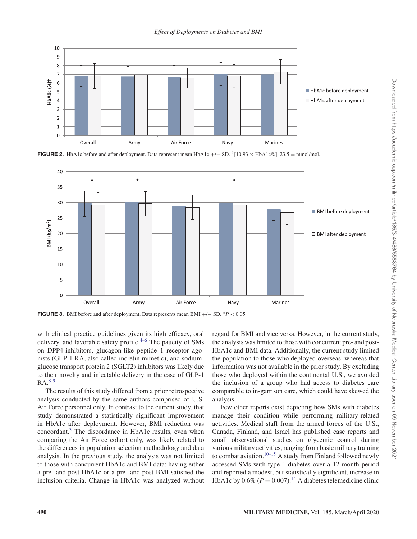

**FIGURE 2.** HbA1c before and after deployment. Data represent mean HbA1c +/− SD. <sup>†</sup>[10.93 × HbA1c%]–23.5 = mmol/mol.



FIGURE 3. BMI before and after deployment. Data represents mean BMI +/− SD. <sup>∗</sup>*P* < 0.05.

with clinical practice guidelines given its high efficacy, oral delivery, and favorable safety profile. $4-6$  The paucity of SMs on DPP4-inhibitors, glucagon-like peptide 1 receptor agonists (GLP-1 RA, also called incretin mimetic), and sodiumglucose transport protein 2 (SGLT2) inhibitors was likely due to their novelty and injectable delivery in the case of GLP-1  $RA.^{8,9}$ 

The results of this study differed from a prior retrospective analysis conducted by the same authors comprised of U.S. Air Force personnel only. In contrast to the current study, that study demonstrated a statistically significant improvement in HbA1c after deployment. However, BMI reduction was concordant.<sup>3</sup> The discordance in HbA1c results, even when comparing the Air Force cohort only, was likely related to the differences in population selection methodology and data analysis. In the previous study, the analysis was not limited to those with concurrent HbA1c and BMI data; having either a pre- and post-HbA1c or a pre- and post-BMI satisfied the inclusion criteria. Change in HbA1c was analyzed without regard for BMI and vice versa. However, in the current study, the analysis was limited to those with concurrent pre- and post-HbA1c and BMI data. Additionally, the current study limited the population to those who deployed overseas, whereas that information was not available in the prior study. By excluding those who deployed within the continental U.S., we avoided the inclusion of a group who had access to diabetes care comparable to in-garrison care, which could have skewed the analysis.

Few other reports exist depicting how SMs with diabetes manage their condition while performing military-related activities. Medical staff from the armed forces of the U.S., Canada, Finland, and Israel has published case reports and small observational studies on glycemic control during various military activities, ranging from basic military training to combat aviation.<sup>10–15</sup> A study from Finland followed newly accessed SMs with type 1 diabetes over a 12-month period and reported a modest, but statistically significant, increase in HbA1c by  $0.6\%$  ( $P = 0.007$ ).<sup>14</sup> A diabetes telemedicine clinic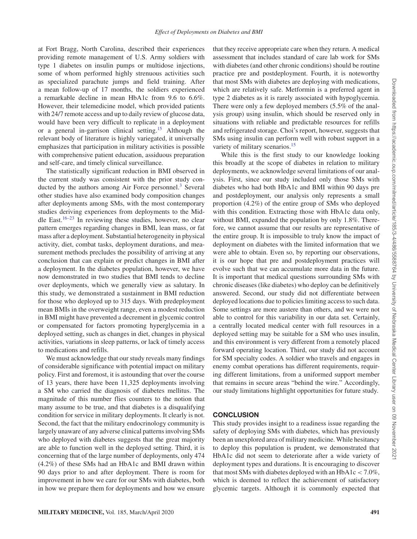at Fort Bragg, North Carolina, described their experiences providing remote management of U.S. Army soldiers with type 1 diabetes on insulin pumps or multidose injections, some of whom performed highly strenuous activities such as specialized parachute jumps and field training. After a mean follow-up of 17 months, the soldiers experienced a remarkable decline in mean HbA1c from 9.6 to 6.6%. However, their telemedicine model, which provided patients with 24/7 remote access and up to daily review of glucose data, would have been very difficult to replicate in a deployment or a general in-garrison clinical setting.<sup>15</sup> Although the relevant body of literature is highly variegated, it universally emphasizes that participation in military activities is possible with comprehensive patient education, assiduous preparation and self-care, and timely clinical surveillance.

The statistically significant reduction in BMI observed in the current study was consistent with the prior study conducted by the authors among Air Force personnel.<sup>3</sup> Several other studies have also examined body composition changes after deployments among SMs, with the most contemporary studies deriving experiences from deployments to the Middle East.16–23 In reviewing these studies, however, no clear pattern emerges regarding changes in BMI, lean mass, or fat mass after a deployment. Substantial heterogeneity in physical activity, diet, combat tasks, deployment durations, and measurement methods precludes the possibility of arriving at any conclusion that can explain or predict changes in BMI after a deployment. In the diabetes population, however, we have now demonstrated in two studies that BMI tends to decline over deployments, which we generally view as salutary. In this study, we demonstrated a sustainment in BMI reduction for those who deployed up to 315 days. With predeployment mean BMIs in the overweight range, even a modest reduction in BMI might have prevented a decrement in glycemic control or compensated for factors promoting hyperglycemia in a deployed setting, such as changes in diet, changes in physical activities, variations in sleep patterns, or lack of timely access to medications and refills.

We must acknowledge that our study reveals many findings of considerable significance with potential impact on military policy. First and foremost, it is astounding that over the course of 13 years, there have been 11,325 deployments involving a SM who carried the diagnosis of diabetes mellitus. The magnitude of this number flies counters to the notion that many assume to be true, and that diabetes is a disqualifying condition for service in military deployments. It clearly is not. Second, the fact that the military endocrinology community is largely unaware of any adverse clinical patterns involvingSMs who deployed with diabetes suggests that the great majority are able to function well in the deployed setting. Third, it is concerning that of the large number of deployments, only 474 (4.2%) of these SMs had an HbA1c and BMI drawn within 90 days prior to and after deployment. There is room for improvement in how we care for our SMs with diabetes, both in how we prepare them for deployments and how we ensure

that they receive appropriate care when they return. A medical assessment that includes standard of care lab work for SMs with diabetes (and other chronic conditions) should be routine practice pre and postdeployment. Fourth, it is noteworthy that most SMs with diabetes are deploying with medications, which are relatively safe. Metformin is a preferred agent in type 2 diabetes as it is rarely associated with hypoglycemia. There were only a few deployed members (5.5% of the analysis group) using insulin, which should be reserved only in situations with reliable and predictable resources for refills and refrigerated storage. Choi's report, however, suggests that SMs using insulin can perform well with robust support in a variety of military scenarios.<sup>15</sup>

While this is the first study to our knowledge looking this broadly at the scope of diabetes in relation to military deployments, we acknowledge several limitations of our analysis. First, since our study included only those SMs with diabetes who had both HbA1c and BMI within 90 days pre and postdeployment, our analysis only represents a small proportion (4.2%) of the entire group of SMs who deployed with this condition. Extracting those with HbA1c data only, without BMI, expanded the population by only 1.8%. Therefore, we cannot assume that our results are representative of the entire group. It is impossible to truly know the impact of deployment on diabetes with the limited information that we were able to obtain. Even so, by reporting our observations, it is our hope that pre and postdeployment practices will evolve such that we can accumulate more data in the future. It is important that medical questions surrounding SMs with chronic diseases (like diabetes) who deploy can be definitively answered. Second, our study did not differentiate between deployed locations due to policies limiting access to such data. Some settings are more austere than others, and we were not able to control for this variability in our data set. Certainly, a centrally located medical center with full resources in a deployed setting may be suitable for a SM who uses insulin, and this environment is very different from a remotely placed forward operating location. Third, our study did not account for SM specialty codes. A soldier who travels and engages in enemy combat operations has different requirements, requiring different limitations, from a uniformed support member that remains in secure areas "behind the wire." Accordingly, our study limitations highlight opportunities for future study.

## **CONCLUSION**

This study provides insight to a readiness issue regarding the safety of deploying SMs with diabetes, which has previously been an unexplored area of military medicine. While hesitancy to deploy this population is prudent, we demonstrated that HbA1c did not seem to deteriorate after a wide variety of deployment types and durations. It is encouraging to discover that most SMs with diabetes deployed with an HbA1c  $<$  7.0%, which is deemed to reflect the achievement of satisfactory glycemic targets. Although it is commonly expected that